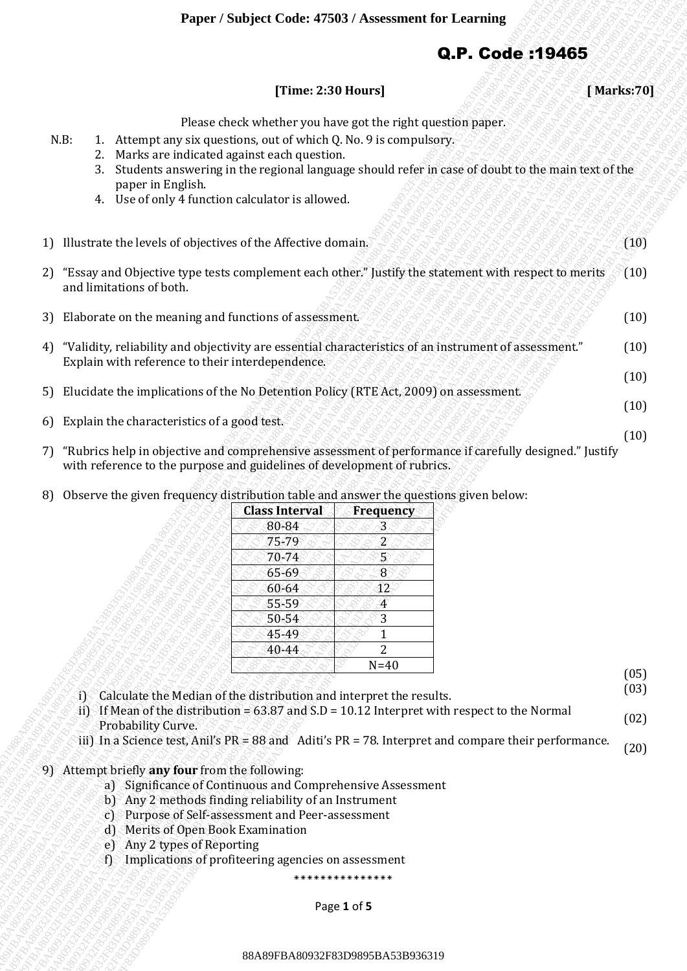## Q.P. Code :19465

## **[Time: 2:30 Hours] [ Marks:70]**

Please check whether you have got the right question paper.

- N.B: 1. Attempt any six questions, out of which Q. No. 9 is compulsory.
	- 2. Marks are indicated against each question.
		- 3. Students answering in the regional language should refer in case of doubt to the main text of the paper in English.
		- 4. Use of only 4 function calculator is allowed.
- **CREAR STATIFIERS 2.30 Hours 1 [Marks.79]**<br>
1. According the stationary of stationary decision of the signal stationary decision and the stationary decision of the signal stationary decision and the stationary decision of **CREAR SUBSALE (TRIME 2.300 Boars)** [**VALUAS:70]**<br>
<sup>8</sup> 2. Outside an extended regulation of the control of the computation of the computation of the computation of the computation of the computation of the computation of **CREATIVE SUBSEX CONSULTERED**<br>
8. A compute my any operations, and any whence the restrict method paper.<br>
8. A constrained in the restrict method paper is the computer space.<br>
8. Detection and the restrict method paper is **CAP. Code :194653**<br>
R.B. 1. Attenuat any associates on cert which CyNe 16 computes paper.<br>
R.B. 1. Attenuat any interest on the control of the Subsetic Associates the material state in the control of the subsetic Associa Experimental content with the state of the state of the state of the state of the state of the state of the state of the state of the state of the state of the state of the state of the state of the state of the state of Paper / Marijard Code: 475831/ Avesoment for Lemining<br>
These 2.30 Hourst<br>
R.B. 1. Attention was equal when the relative state and the relative state and the relative state and the relative state and the relative state and Function Schopes Code: 478831 Assessment for Learning (and a stationary (and a stationary (and a stationary (a) and a stationary (a) and a stationary (a) and a stationary (a) and a stationary (a) and a stationary (a) and **Paper Simiped Code 4780) A severator for Terming<br>
2. P. Code 193485<br>
17. A strong and contributed paper and script permission and script permission and script permission and script permission and script permission and sc Proper Studyer Code 4788UV Assessment for Learning <b>Q.P. Codes 1934855**<br>
These 2020 Pouses Contributed you have get shoredly proper spaces.<br>
1. Andreas source of the forecast control that the control transformation of th **Proper Studyer Code 4788UV Assessment for Learning <b>Q.P. Codes 1934855**<br>
These 2020 Pouses Contributed you have get shoredly proper spaces.<br>
1. Andreas source of the forecast control that the control transformation of th **Experimentation of the control of the control of the control of the control of the control of the control of the control of the control of the control of the control of the control of the control of the control of the co Pluster Could 47581) Assessment for Learning (Statister) (Maritech)**<br>
1. Assessment characterized you have get the regist specific specific specific specific specific specific specific specific specific specific specific **Expect Studiest Code: 475831 / Assessment for Learning Case (Stark 2001)** [Starks 29] [Starks 29] [Starks 29] [Starks 29] [Starks 29] [Starks 29] [Starks 29] [Starks 29] [Starks 29] [Starks 29] [Starks 29] [Starks 29] [S **Player / Subject Code: 47383 / Assessment for Locating 1998<br>
With 1. Assessment of the control of the control of the control of the control of the control of the control of the control of the control of the control of th Example 7 Statistics Content Content Content Content Content Content Content Content Content Content Content Content Content Content Content Content Content Content Content Content Content Content Content Content Content Example:** Sharpet / Sharpet / Sharpet / Sharpet / Times: 2.30 Bloomer]<br>
Times: 2.30 Bloomer]<br>
Times: 2.30 Bloomer]<br>
2. Marks are industrial that the regulation state of the first completesy<br>
2. Marks are industrial that **FBA809789883831983888A896383898888**<br> **CAP. Code :194665**<br>
THOSE changes choosen and the regional metallication and the regional metallication and the regional metallication and the regional metallication and the regional **Paper / Subject Code: 47503** / Assessment for Learning **CD-**<br> **CD- CD- CD- CD- CD- CD- CD- CD- CD- CD- CD- CD- CD- CD- CD- CD- CD- CD- CD- CD- CD- CD- CD- CD- CD- CD- C Paper / Subject Code: 47903 / Assessment for Learning CB-R Code s19465<br>
Trime: 2:10 Bluary |<br>
2:30 Bluary |<br>
2:30 Bluary |<br>
2:30 Bluary |<br>
2:30 Bluary |<br>
2:30 Bluary |<br>
3:30 Bluary |<br>
3:30 Bluary |<br>
3:30 Bluary |<br>
3:30 B Example:** / Saintinger / Saintinger Condex 47980 / Ansessment for Learning **Q.P. Codes :194655**<br>
KB: 1. Altunes are listened on the condex of evoluting the regional baseaspace of the regional baseaspace of the regional b 1) Illustrate the levels of objectives of the Affective domain. 2) "Essay and Objective type tests complement each other." Justify the statement with respect to merits and limitations of both. 3) Elaborate on the meaning and functions of assessment. 4) "Validity, reliability and objectivity are essential characteristics of an instrument of assessment." Explain with reference to their interdependence. 5) Elucidate the implications of the No Detention Policy (RTE Act, 2009) on assessment. (10)  $(10)$ (10) (10) (10)
	- 6) Explain the characteristics of a good test.
	- 7) "Rubrics help in objective and comprehensive assessment of performance if carefully designed." Justify with reference to the purpose and guidelines of development of rubrics.
	- 8) Observe the given frequency distribution table and answer the questions given below:

| <b>Class Interval</b> | Frequency |
|-----------------------|-----------|
| 80-84                 | 3         |
| 75-79                 | 2         |
| 70-74                 | 5         |
| 65-69                 | 8         |
| $60 - 64$             | 12        |
| 55-59                 | 4         |
| 50-54                 | 3         |
| 45-49                 |           |
| 40-44                 | 2         |
|                       | $N=40$    |

(05)

(03)

(10)

(10)

- i) Calculate the Median of the distribution and interpret the results.
- ii) If Mean of the distribution =  $63.87$  and S.D = 10.12 Interpret with respect to the Normal Probability Curve. (02)
- iii) In a Science test, Anil's PR = 88 and Aditi's PR = 78. Interpret and compare their performance. (20)
- 9) Attempt briefly **any four** from the following:
	- a) Significance of Continuous and Comprehensive Assessment
	- b) Any 2 methods finding reliability of an Instrument
	- c) Purpose of Self-assessment and Peer-assessment
	- d) Merits of Open Book Examination
	- e) Any 2 types of Reporting
	- f) Implications of profiteering agencies on assessment

\*\*\*\*\*\*\*\*\*\*\*\*\*\*

Page **1** of **5**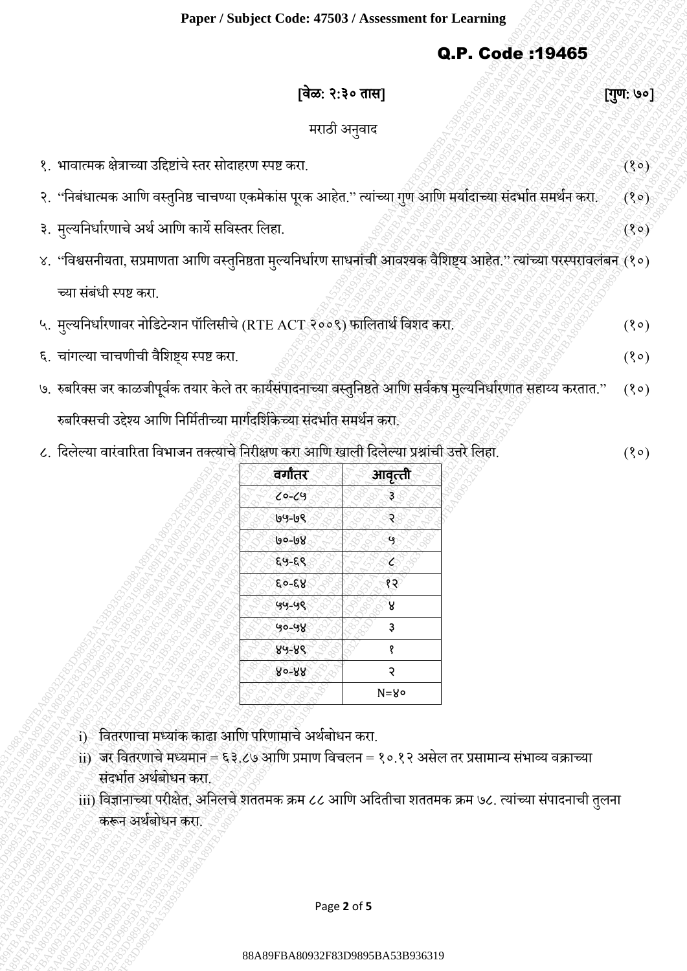## Q.P. Code :19465

|                                                                                                                                                                                                                                                                                                                       |                        |                                  | Q.P. Code : 19465 |           |
|-----------------------------------------------------------------------------------------------------------------------------------------------------------------------------------------------------------------------------------------------------------------------------------------------------------------------|------------------------|----------------------------------|-------------------|-----------|
|                                                                                                                                                                                                                                                                                                                       |                        | [वेळ: २:३० तास]                  |                   | [गुण: ७०] |
|                                                                                                                                                                                                                                                                                                                       |                        | मराठी अनुवाद                     |                   |           |
| १. भावात्मक क्षेत्राच्या उद्दिष्टांचे स्तर सोदाहरण स्पष्ट करा.                                                                                                                                                                                                                                                        |                        |                                  |                   | (8)       |
| २. ''निबंधात्मक आणि वस्तुनिष्ठ चाचण्या एकमेकांस पूरक आहेत.'' त्यांच्या गुण आणि मर्यादाच्या संदर्भात समर्थन करा                                                                                                                                                                                                        |                        |                                  |                   | (8)       |
| ३. मुल्यनिर्धारणाचे अर्थ आणि कार्ये सविस्तर लिहा.                                                                                                                                                                                                                                                                     |                        |                                  |                   |           |
|                                                                                                                                                                                                                                                                                                                       |                        |                                  |                   | (30)      |
| ४. "विश्वसनीयता, सप्रमाणता आणि वस्तुनिष्ठता मुल्यनिर्धारण साधनांची आवश्यक वैशिष्ट्य आहेत." त्यांच्या परस्परावलंबन (१०)                                                                                                                                                                                                |                        |                                  |                   |           |
| च्या संबंधी स्पष्ट करा.                                                                                                                                                                                                                                                                                               |                        |                                  |                   |           |
| ५. मुल्यनिर्धारणावर नोडिटेन्शन पॉलिसीचे (RTE ACT २००९) फालितार्थ विशद करा.                                                                                                                                                                                                                                            |                        |                                  |                   | (30)      |
| ६. चांगल्या चाचणीची वैशिष्ट्य स्पष्ट करा.                                                                                                                                                                                                                                                                             |                        |                                  |                   | (30)      |
| ७. रुबरिक्स जर काळजीपूर्वक तयार केले तर कार्यसंपादनाच्या वस्तुनिष्ठते आणि सर्वकष मुल्यनिर्धारणात सहाय्य करतात."                                                                                                                                                                                                       |                        |                                  |                   | (80)      |
| रुबरिक्सची उद्देश्य आणि निर्मितीच्या मार्गदर्शिकेच्या संदर्भात समर्थन करा.                                                                                                                                                                                                                                            |                        |                                  |                   |           |
| ८. दिलेल्या वारंवारिता विभाजन तक्त्याचे निरीक्षण करा आणि खाली दिलेल्या प्रश्नांची उत्तरे लिहा.                                                                                                                                                                                                                        |                        |                                  |                   | (80)      |
|                                                                                                                                                                                                                                                                                                                       | वर्गांतर               | आवृत्ती                          |                   |           |
|                                                                                                                                                                                                                                                                                                                       | $0 - 09$               | з                                |                   |           |
|                                                                                                                                                                                                                                                                                                                       | 99-66                  | २                                |                   |           |
|                                                                                                                                                                                                                                                                                                                       | 90-08                  | છે                               |                   |           |
|                                                                                                                                                                                                                                                                                                                       | $89 - 89$              | ে                                |                   |           |
|                                                                                                                                                                                                                                                                                                                       | $89 - 69$<br>$49 - 49$ | १२<br>ß.                         |                   |           |
|                                                                                                                                                                                                                                                                                                                       | 90-98                  | З                                |                   |           |
|                                                                                                                                                                                                                                                                                                                       | $89 - 88$              | १                                |                   |           |
|                                                                                                                                                                                                                                                                                                                       | 80-88                  | २                                |                   |           |
|                                                                                                                                                                                                                                                                                                                       |                        | $N = 8$                          |                   |           |
| <u>i)</u> वितरणाचा मध्यांक काढा आणि परिणामाचे अर्थबोधन करा.<br>ii) जर वितरणाचे मध्यमान = ६३.८७ आणि प्रमाण विचलन = १०.१२ असेल तर प्रसामान्य संभाव्य वक्राच्या<br>संदर्भात अर्थबोधन करा.<br>iii) विज्ञानाच्या परीक्षेत, अनिलचे शततमक क्रम ८८ आणि अदितीचा शततमक क्रम ७८. त्यांच्या संपादनाची तुलना<br>करून अर्थबोधन करा. |                        |                                  |                   |           |
|                                                                                                                                                                                                                                                                                                                       |                        | Page 2 of 5                      |                   |           |
|                                                                                                                                                                                                                                                                                                                       |                        | 88A89FBA80932F83D9895BA53B936319 |                   |           |

| वर्गांतर | आवृत्ती |  |  |
|----------|---------|--|--|
| $0 - 69$ | Ş       |  |  |
| ७५-७९    |         |  |  |
| ७०-७४    | ંબુ     |  |  |
| ६५-६९    | ८       |  |  |
| ६०-६४    | १२      |  |  |
| 99-99    | 8       |  |  |
| 90-98    | ҙ       |  |  |
| 89-86    | Ş       |  |  |
| 80-88    | ર       |  |  |
|          | N=80    |  |  |
|          |         |  |  |

- $\rm\,i)$ े वितरणाचा मध्यांक काढा आणि परिणामाचे अर्थबोधन करा.
- $\rm ii)$  जर वितरणाचे मध्यमान = ६३.८७ आणि प्रमाण विचलन = १०.१२ असेल तर प्रसामान्य संभाव्य वक्राच्या संदर्भात अर्थबोधन करा.
- iii) द्दवज्ञानाच्या परीक्षेत, अद्दनिचेिततमक क्रम ८८ आद्दण अद्ददतीचा िततमक क्रम ७८. त्याांच्या सांपादनाची तिुना करून अर्ाबोधन करा.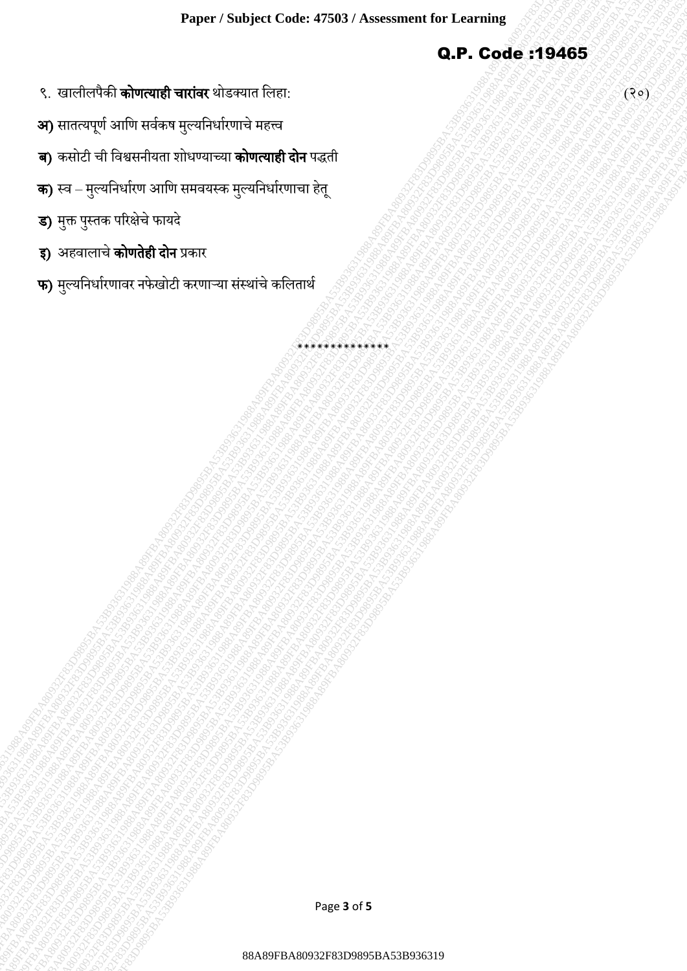\*\*\*\*\*\*\*\*\*\*\*\*\*

Q.P. Code :19465

- ९. खालीलपैकी **कोणत्याही चारांवर** थोडक्यात लिहा: (२०) से स्वास्थ्यात द्विहा: (२०) से स्वास्थ्यात द्विहा: (२०) से स्वास्थ्यात द्विहा: (२०) से स्वास्थ्यात द्विहा: (२०) से स्वास्थ्यात द्विहा: (२०) से स्वास्थ्यात द्विहा: (२०)
- **अ)** सातत्यपूर्ण आणि सर्वकष मुल्यनिर्धारणाचे महत्त्व
- 88A89FBA80932F83D9895BA53B93631988A89FBA80932F83D9895BA53B93631988A89FBA80932F83D9895BA53B93631988A89FBA80932F83D9895BA53B93631988A89FBA80932F83D9895BA53B93631988A89FBA80932F83D9895BA53B936319 88A89FBA80932F83D9895BA53B93631988A89FBA80932F83D9895BA53B93631988A89FBA80932F83D9895BA53B93631988A89FBA80932F83D9895BA53B93631988A89FBA80932F83D9895BA53B93631988A89FBA80932F83D9895BA53B936319 Secondar March 1988<br>| Secondar March 1989-1988-1988<br>| Secondar March 1989-1988|| 1989-1988|| 1989-1988|<br>| Secondar March 1989|| 1989-1988|| 1989|| 1989|| 1989|<br>| Secondar March 1989|| 1989|| 1989|| 1989|| 1989|| 1989|| 198  $\begin{array}{lllllllllll} \end{array} \qquad \qquad \begin{array}{lllllllll} \end{array} \qquad \qquad \begin{array}{lllllllll} \end{array} \qquad \qquad \begin{array}{lllllllll} \end{array} \qquad \qquad \begin{array}{lllllllllll} \end{array} \qquad \qquad \begin{array}{lllllllllll} \end{array} \qquad \qquad \begin{array}{lllllllllll} \end{array} \qquad \qquad \begin{array}{lllllllllll} \end{array} \qquad \qquad \begin{array}{lllllllllllll} \end{array} \qquad \begin{array}{lllllllllllllllll} \end{$ 88A89FBA80932F83D9895BA53B93631988A89FBA80932F83D9895BA53B93631988A89FBA80932F83D9895BA53B93631988A89FBA80932F83D9895BA53B93631988A89FBA80932F83D9895BA53B93631988A89FBA80932F83D9895BA53B936319 88A89FBA80932F83D9895BA53B93631988A89FBA80932F83D9895BA53B93631988A89FBA80932F83D9895BA53B93631988A89FBA80932F83D9895BA53B93631988A89FBA80932F83D9895BA53B93631988A89FBA80932F83D9895BA53B936319 Paper : Sabyed Cade: 47883 | Secomman for Franching<br>8. control of the state and control of the state and control of the state and control of the state and control of the state and control of the state and control of the st Paper Subject Cale 4788) Avecance in fr Laming<br>S. redded & <del>Branch and Redden Characters</del><br>R. redded Schwarten street, proference in the control and Redden<br>R. redded Schwarten street, proference in the control and Redden<br>R. 8<br>88 AB 202 FBA8095<br>8 AB 202 FBA809 FBA800 FBA800 FBA8095<br>8 AS TO CHE TO FEDERAL THE CONFERENCE TO CONFERENCE TO CONFERENCE TO CONFERENCE TO CONFERENCE TO CONFERENCE<br>8 AS TO CHE TO FEDERAL THE CONFERENCE TO CONFERENCE TO C 8<br>88 AB 202 FBA8095<br>8 AB 202 FBA809 FBA800 FBA800 FBA8095<br>8 AS TO CHE TO FEDERAL THE CONFERENCE TO CONFERENCE TO CONFERENCE TO CONFERENCE TO CONFERENCE TO CONFERENCE<br>8 AS TO CHE TO FEDERAL THE CONFERENCE TO CONFERENCE TO C Proper Semiples Code: 4788N Assessment for Laminage<br>
3. Professor and The Transforme and The Transforme<br>
3. Professor and The Transforme and The Transforme<br>
3. Professor and The Transforme and The Transforme<br>
3. Professor Examinent Source of Salt 1780 i Novemann for Learning<br>
2. P. Code 119465<br>
3. P. Code 119465<br>
3. P. Code 119465<br>
3. P. Code 119465<br>
3. P. Code 119465<br>
3. P. Code 119465<br>
3. P. Code 119465<br>
3. P. Code 119465<br>
3. P. Code 1194 Experistration of the 1798 and 1898 and 1898 and 1998 and 1998 and 1998 and 1998 and 1998 and 1998 and 1998 and 1998 and 1998 and 1998 and 1998 and 1998 and 1998 and 1998 and 1998 and 1998 and 1998 and 1998 and 1998 and 19 88A89FBA80932F83D9895BA53B93631988A89FBA80932F83D9895BA53B93631988A89FBA80932F83D9895BA53B93631988A89FBA80932F83D9895BA53B93631988A89FBA80932F83D9895BA53B93631988A89FBA80932F83D9895BA53B936319 88A89FBA80932F83D9895BA53B93631988A89FBA80932F83D9895BA53B93631988A89FBA80932F83D9895BA53B93631988A89FBA80932F83D9895BA53B93631988A89FBA80932F83D9895BA53B93631988A89FBA80932F83D9895BA53B936319 Experiment Reality of The Company of The Company of The Company of The Company of The Company of The Company of The Company of The Company of The Company of The Company of The Company of The Company of The Company of The C Pyon Yannya Yangi Yangi Yangi Yangi Yangi Yangi Yangi Yangi Yangi Yangi Yangi Yangi Yangi Yangi Yangi Yangi Ya<br>3 A89-Basil Yangi Yangi Yangi Yangi Yangi Yangi Yangi Yangi Yangi Yangi Yangi Yangi Yangi Yangi Yangi Yangi Yan Paper / Southern discription Code 4784853<br>1982-1983 Based on the state of the state of the state of the state of the state of the state of the state of<br>30 FBA 30 FBA80 P83631983 PROPERTY SECOND THE STATE OF THE STATE OF TH Paper / Soubject Code: 47943 / Assessment for Learning<br>8. C. archives of a superenty arrows virtual streams from<br>30 years of a subject of a superenty arrows virtual streams and<br>30 year - Seconds a superenty arrows and the Expect / Subject Code: 4780 / Assessment for Learning<br>8. And color when the character of army and the character<br>30. And did the character of army and the character<br>3. And did the character of army and the character<br>3. And **ब)** कसोटी ची विश्वसनीयता शोधण्याच्या **कोणत्याही दोन** पद्धती
	- **क)** स्व मुल्यनिर्धारण आणि समवयस्क मुल्यनिर्धारणाचा हेतू
	- **ड)** मुक्त पुस्तक परिक्षेचे फायदे
	- **इ) अहवालाचे <mark>कोणतेही दोन</mark> प्र**कार
	- **फ)** मुल्यनिर्धारणावर नफेखोटी करणाऱ्या संस्थांचे कलितार्थ

Page **3** of **5**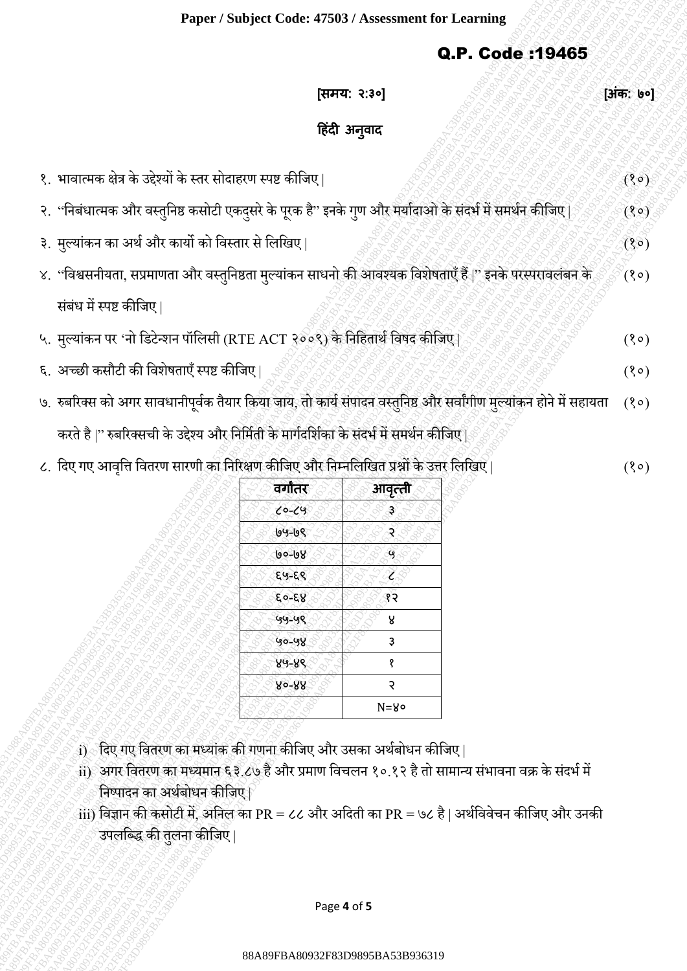## Q.P. Code :19465

|                                                                                                                     |                                  |              | Q.P. Code :19465 |           |
|---------------------------------------------------------------------------------------------------------------------|----------------------------------|--------------|------------------|-----------|
|                                                                                                                     |                                  | [समय: २:३०]  |                  | [अंक: ७०] |
|                                                                                                                     |                                  | हिंदी अनुवाद |                  |           |
| १. भावात्मक क्षेत्र के उद्देश्यों के स्तर सोदाहरण स्पष्ट कीजिए                                                      |                                  |              |                  | (8)       |
| २. ''निबंधात्मक और वस्तुनिष्ठ कसोटी एकदुसरे के पूरक है'' इनके गुण और मर्यादाओ के संदर्भ में समर्थन कीजिए            |                                  |              |                  | (3)       |
| ३.  मुल्यांकन का अर्थ और कार्यो को विस्तार से लिखिए                                                                 |                                  |              |                  | (30)      |
| ४. ''विश्वसनीयता, सप्रमाणता और वस्तुनिष्ठता मुल्यांकन साधनो की आवश्यक विशेषताएँ हैं।'' इनके परस्परावलंबन के         |                                  |              |                  | $($ ९०)   |
| संबंध में स्पष्ट कीजिए                                                                                              |                                  |              |                  |           |
|                                                                                                                     |                                  |              |                  |           |
| ५. मुल्यांकन पर 'नो डिटेन्शन पॉलिसी (RTE ACT २००९) के निहितार्थ विषद कीजिए                                          |                                  |              |                  | (30)      |
| ६. अच्छी कसौटी की विशेषताएँ स्पष्ट कीजिए                                                                            |                                  |              |                  | (80)      |
| ७.  रुबरिक्स को अगर सावधानीपूर्वक तैयार किया जाय, तो कार्य संपादन वस्तुनिष्ठ और सर्वांगीण मुल्यांकन होने में सहायता |                                  |              |                  | (80)      |
| करते है  '' रुबरिक्सची के उद्देश्य और निर्मिती के मार्गदर्शिका के संदर्भ में समर्थन कीजिए                           |                                  |              |                  |           |
| ८. दिए गए आवृत्ति वितरण सारणी का निरिक्षण कीजिए और निम्नलिखित प्रश्नों के उत्तर लिखिए                               |                                  |              |                  | (8)       |
|                                                                                                                     | वर्गांतर                         | आवृत्ती      |                  |           |
|                                                                                                                     | $6 - 69$<br>194-198              | ್ರಿ<br>ঽ৾    |                  |           |
|                                                                                                                     | 90-98                            | ႜႜႜႜ         |                  |           |
|                                                                                                                     | ६५-६९                            | Z.           |                  |           |
|                                                                                                                     | $80 - 58$                        | ্ষ হ         |                  |           |
|                                                                                                                     | $99 - 98$                        | 8            |                  |           |
|                                                                                                                     | $40 - 48$                        | ҙ            |                  |           |
|                                                                                                                     | $89 - 86$                        | १            |                  |           |
|                                                                                                                     | 80-88                            | २            |                  |           |
|                                                                                                                     |                                  | $N = 8$      |                  |           |
| i) दिए गए वितरण का मध्यांक की गणना कीजिए और उसका अर्थबोधन कीजिए                                                     |                                  |              |                  |           |
| ii) अगर वितरण का मध्यमान ६३.८७ है और प्रमाण विचलन १०.१२ है तो सामान्य संभावना वक्र के संदर्भ में                    |                                  |              |                  |           |
| निष्पादन का अर्थबोधन कीजिए                                                                                          |                                  |              |                  |           |
| iii) विज्ञान की कसोटी में, अनिल का PR = ८८ और अदिती का PR = ७८ है   अर्थविवेचन कीजिए और उनकी                        |                                  |              |                  |           |
| उपलब्द्धि की तुलना कीजिए                                                                                            |                                  |              |                  |           |
|                                                                                                                     |                                  |              |                  |           |
|                                                                                                                     |                                  |              |                  |           |
|                                                                                                                     |                                  | Page 4 of 5  |                  |           |
|                                                                                                                     |                                  |              |                  |           |
|                                                                                                                     | 88A89FBA80932F83D9895BA53B936319 |              |                  |           |

| वर्गातर   | आवृत्ती      |  |  |
|-----------|--------------|--|--|
| $6 - 69$  | ҙ            |  |  |
| 94-68     | २            |  |  |
| १७-७७     | $\mathbf{Q}$ |  |  |
| ६५-६९     | Z            |  |  |
| $60 - 58$ | १२           |  |  |
| 99-99     | R            |  |  |
| 40-48     | ҙ            |  |  |
| ४५-४९     | १            |  |  |
| ४०-४४     | २            |  |  |
|           | N=80         |  |  |

- $\mathbf{i})$ ेदिए गए वितरण का मध्यांक की गणना कीजिए और उसका अर्थबोधन कीजिए |
- ii) अगर द्दवतरण का मधयमान ६३.८७ है और प्रमाण द्दवचिन १०.१२ है तो सामान्य सांभावना वक्र केसांदभामें निष्पादन का अर्थबोधन कीजिए।
- $\ket{\text{iii}}$  विज्ञान की कसोटी में, अनिल का PR = ८८ और अदिती का PR = ७८ है | अर्थविवेचन कीजिए और उनकी उपलब्द्धि की तुलना कीजिए |